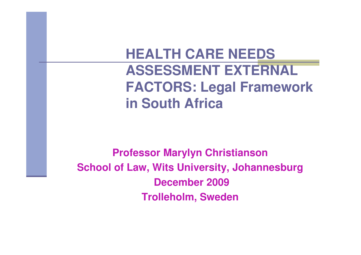#### **HEALTH CARE NEEDS ASSESSMENT EXTERNAL FACTORS: Legal Framework in South Africa**

**Professor Marylyn Christianson School of Law, Wits University, JohannesburgDecember 2009Trolleholm, Sweden**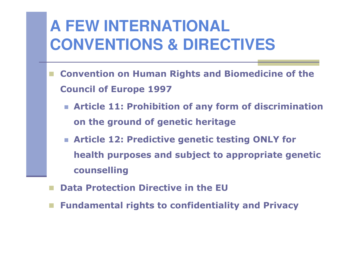# **A FEW INTERNATIONAL CONVENTIONS & DIRECTIVES**

- **Convention on Human Rights and Biomedicine of the Council of Europe 1997**
	- **Article 11: Prohibition of any form of discrimination on the ground of genetic heritage**
	- **Article 12: Predictive genetic testing ONLY for health purposes and subject to appropriate genetic counselling**
- **Data Protection Directive in the EU**
- **Fundamental rights to confidentiality and Privacy**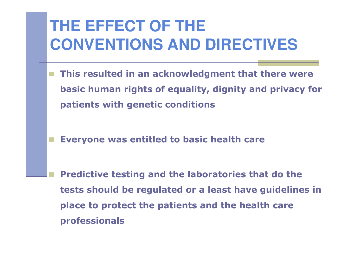# **THE EFFECT OF THE CONVENTIONS AND DIRECTIVES**

- **This resulted in an acknowledgment that there were basic human rights of equality, dignity and privacy for patients with genetic conditions**
- **Everyone was entitled to basic health care**
	- **Predictive testing and the laboratories that do the tests should be regulated or a least have guidelines in place to protect the patients and the health care professionals**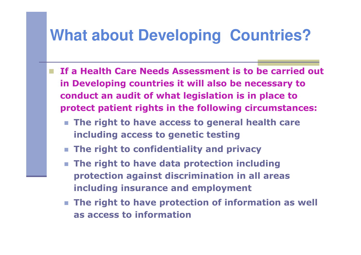## **What about Developing Countries?**

- **If a Health Care Needs Assessment is to be carried out in Developing countries it will also be necessary to conduct an audit of what legislation is in place to protect patient rights in the following circumstances:**
	- The right to have access to general health care **including access to genetic testing**
	- **The right to confidentiality and privacy**
	- **The right to have data protection including protection against discrimination in all areas including insurance and employment**
	- **The right to have protection of information as well as access to information**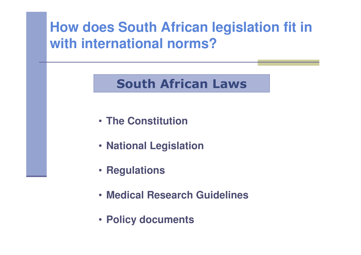#### **How does South African legislation fit in with international norms?**

#### **South African Laws**

- **The Constitution**
- **National Legislation**
- **Regulations**
- **Medical Research Guidelines**
- **Policy documents**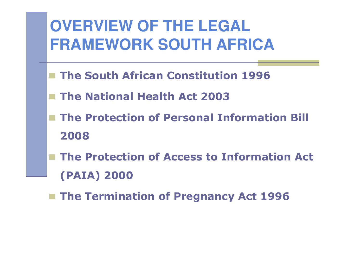# **OVERVIEW OF THE LEGAL FRAMEWORK SOUTH AFRICA**

- **The South African Constitution 1996**
- **The National Health Act 2003**
- **The Protection of Personal Information Bill 2008**
- The Protection of Access to Information Act **(PAIA) 2000**
- **The Termination of Pregnancy Act 1996**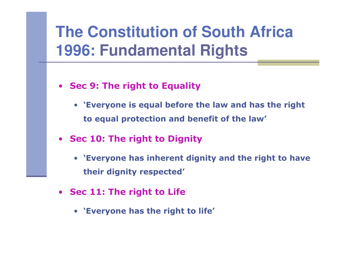## **The Constitution of South Africa 1996: Fundamental Rights**

- **Sec 9: The right to Equality**
	- **'Everyone is equal before the law and has the right to equal protection and benefit of the law'**
- **Sec 10: The right to Dignity**
	- **'Everyone has inherent dignity and the right to have their dignity respected'**
- **Sec 11: The right to Life**
	- **'Everyone has the right to life'**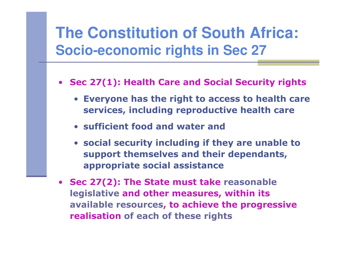### **The Constitution of South Africa:Socio-economic rights in Sec 27**

- $\bullet$  **Sec 27(1): Health Care and Social Security rights**
	- **Everyone has the right to access to health care services, including reproductive health care**
	- **sufficient food and water and**
	- **social security including if they are unable to support themselves and their dependants, appropriate social assistance**
- **Sec 27(2): The State must take reasonable legislative and other measures, within its available resources, to achieve the progressive realisation of each of these rights**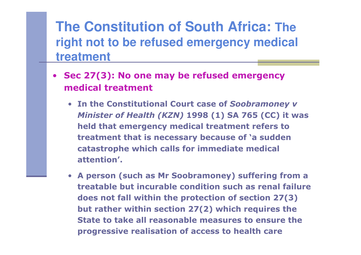#### **The Constitution of South Africa: The right not to be refused emergency medical treatment**

- **Sec 27(3): No one may be refused emergency medical treatment**
	- **In the Constitutional Court case of** *Soobramoney <sup>v</sup> Minister of Health (KZN)* **1998 (1) SA 765 (CC) it was held that emergency medical treatment refers to treatment that is necessary because of 'a sudden catastrophe which calls for immediate medical attention'.**
	- **A person (such as Mr Soobramoney) suffering from a treatable but incurable condition such as renal failure does not fall within the protection of section 27(3) but rather within section 27(2) which requires the State to take all reasonable measures to ensure theprogressive realisation of access to health care**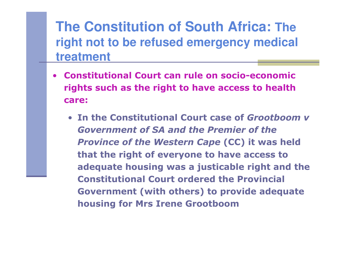#### **The Constitution of South Africa: The right not to be refused emergency medical treatment**

- **Constitutional Court can rule on socio-economic rights such as the right to have access to health care:**
	- **In the Constitutional Court case of** *Grootboom <sup>v</sup> Government of SA and the Premier of the* **Province of the Western Cape (CC) it was held that the right of everyone to have access to adequate housing was a justicable right and the Constitutional Court ordered the Provincial Government (with others) to provide adequate housing for Mrs Irene Grootboom**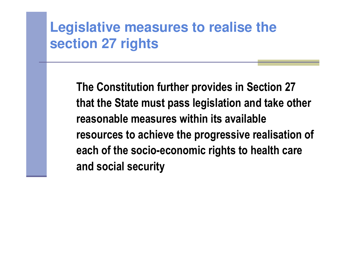#### **Legislative measures to realise the section 27 rights**

**The Constitution further provides in Section 27 that the State must pass legislation and take otherreasonable measures within its available resources to achieve the progressive realisation of each of the socio-economic rights to health care and social security**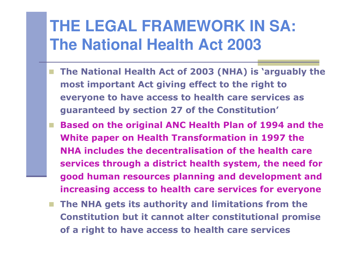## **THE LEGAL FRAMEWORK IN SA: The National Health Act 2003**

- **The National Health Act of 2003 (NHA) is 'arguably the most important Act giving effect to the right to everyone to have access to health care services as guaranteed by section 27 of the Constitution'**
- **Based on the original ANC Health Plan of 1994 and the White paper on Health Transformation in 1997 the NHA includes the decentralisation of the health care services through a district health system, the need for good human resources planning and development and increasing access to health care services for everyone**
- **The NHA gets its authority and limitations from the Constitution but it cannot alter constitutional promise of a right to have access to health care services**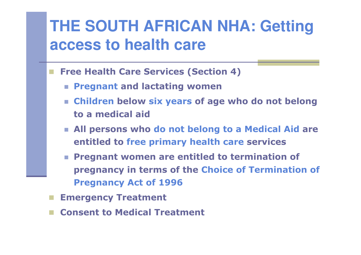## **THE SOUTH AFRICAN NHA: Getting access to health care**

- **Free Health Care Services (Section 4)**
	- **Pregnant and lactating women**
	- **Children below six years of age who do not belong to a medical aid**
	- **All persons who do not belong to a Medical Aid are entitled to free primary health care services**
	- **Pregnant women are entitled to termination of pregnancy in terms of the Choice of Termination of Pregnancy Act of 1996**
- **Emergency Treatment**
- **Consent to Medical Treatment**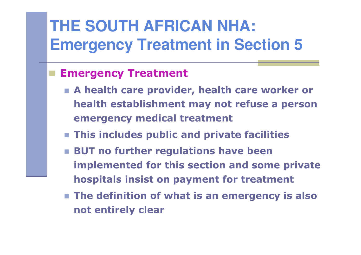# **THE SOUTH AFRICAN NHA: Emergency Treatment in Section 5**

#### **Emergency Treatment**

- **A health care provider, health care worker or health establishment may not refuse a person emergency medical treatment**
- **This includes public and private facilities**
- **BUT no further regulations have been implemented for this section and some private hospitals insist on payment for treatment**
- **The definition of what is an emergency is also not entirely clear**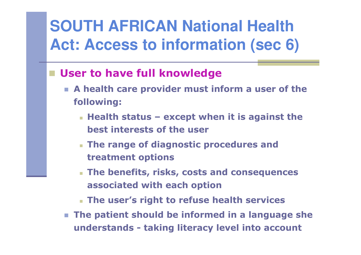# **SOUTH AFRICAN National Health Act: Access to information (sec 6)**

#### **User to have full knowledge**

- **A health care provider must inform a user of the following:**
	- **Health status – except when it is against the best interests of the user**
	- **The range of diagnostic procedures and treatment options**
	- **The benefits, risks, costs and consequences associated with each option**
	- **The user's right to refuse health services**
- **The patient should be informed in a language she understands - taking literacy level into account**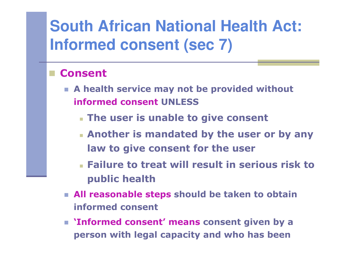# **South African National Health Act: Informed consent (sec 7)**

#### **Consent**

- **A health service may not be provided without informed consent UNLESS**
	- **The user is unable to give consent**
	- **Another is mandated by the user or by any law to give consent for the user**
	- **Failure to treat will result in serious risk to public health**
- **All reasonable steps should be taken to obtain informed consent**
- **'Informed consent' means consent given by a person with legal capacity and who has been**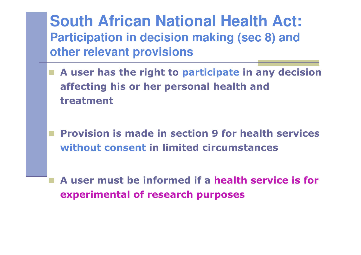**South African National Health Act: Participation in decision making (sec 8) and other relevant provisions**

- **A user has the right to participate in any decision affecting his or her personal health and treatment**
	- **Provision is made in section 9 for health services without consent in limited circumstances**
	- **A user must be informed if a health service is for experimental of research purposes**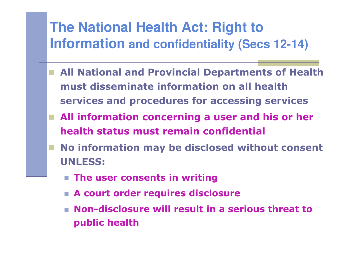# **The National Health Act: Right to Information and confidentiality (Secs 12-14)**

- All National and Provincial Departments of Health **must disseminate information on all health services and procedures for accessing services**
- All information concerning a user and his or her **health status must remain confidential**
- No information may be disclosed without consent **UNLESS:**
	- **The user consents in writing**
	- **A court order requires disclosure**
	- **Non-disclosure will result in a serious threat to public health**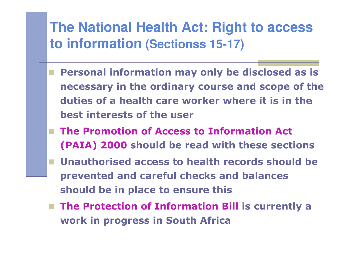# **The National Health Act: Right to access to information (Sectionss 15-17)**

- **Personal information may only be disclosed as is necessary in the ordinary course and scope of the duties of a health care worker where it is in the best interests of the user**
- The Promotion of Access to Information Act **(PAIA) 2000 should be read with these sections**
- Unauthorised access to health records should be **prevented and careful checks and balances should be in place to ensure this**
- The Protection of Information Bill is currently a **work in progress in South Africa**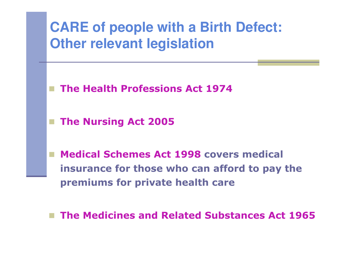

■ The Medicines and Related Substances Act 1965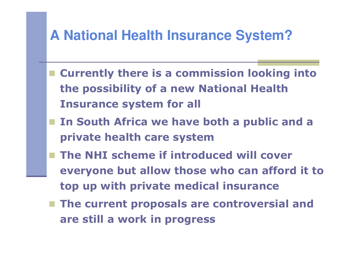#### **A National Health Insurance System?**

- **Currently there is a commission looking into the possibility of a new National Health Insurance system for all**
- In South Africa we have both a public and a **private health care system**
- **The NHI scheme if introduced will cover everyone but allow those who can afford it to top up with private medical insurance**
- **The current proposals are controversial and are still a work in progress**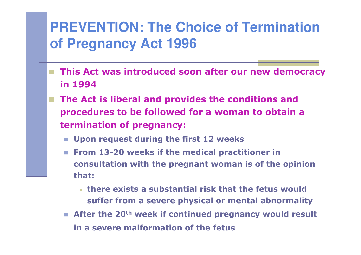#### **PREVENTION: The Choice of Termination of Pregnancy Act 1996**

- **This Act was introduced soon after our new democracy in 1994**
- **The Act is liberal and provides the conditions and procedures to be followed for a woman to obtain a termination of pregnancy:**
	- **Upon request during the first 12 weeks**
	- m. **From 13-20 weeks if the medical practitioner in consultation with the pregnant woman is of the opinion that:**
		- **there exists a substantial risk that the fetus would and the seture of the seture of the seture of the angle of the seture of the seture of the seture of the seture of the seture of the seture of the seture of the seture suffer from a severe physical or mental abnormality**
	- **After the 20th week if continued pregnancy would result in a severe malformation of the fetus**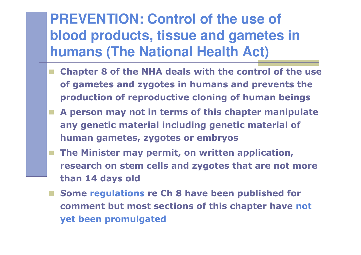**PREVENTION: Control of the use of blood products, tissue and gametes in humans (The National Health Act)**

- **Chapter 8 of the NHA deals with the control of the use of gametes and zygotes in humans and prevents the production of reproductive cloning of human beings**
- **A person may not in terms of this chapter manipulate any genetic material including genetic material of human gametes, zygotes or embryos**
- **The Minister may permit, on written application, research on stem cells and zygotes that are not more than 14 days old**
- **Some regulations re Ch 8 have been published for comment but most sections of this chapter have not yet been promulgated**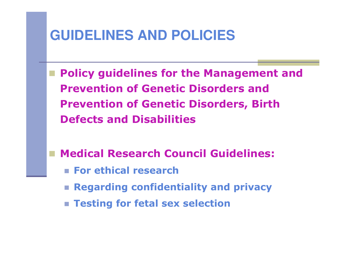

 **Policy guidelines for the Management and Prevention of Genetic Disorders and Prevention of Genetic Disorders, Birth Defects and Disabilities**

**Medical Research Council Guidelines:**

- **For ethical research**
- **Regarding confidentiality and privacy**
- **Testing for fetal sex selection**